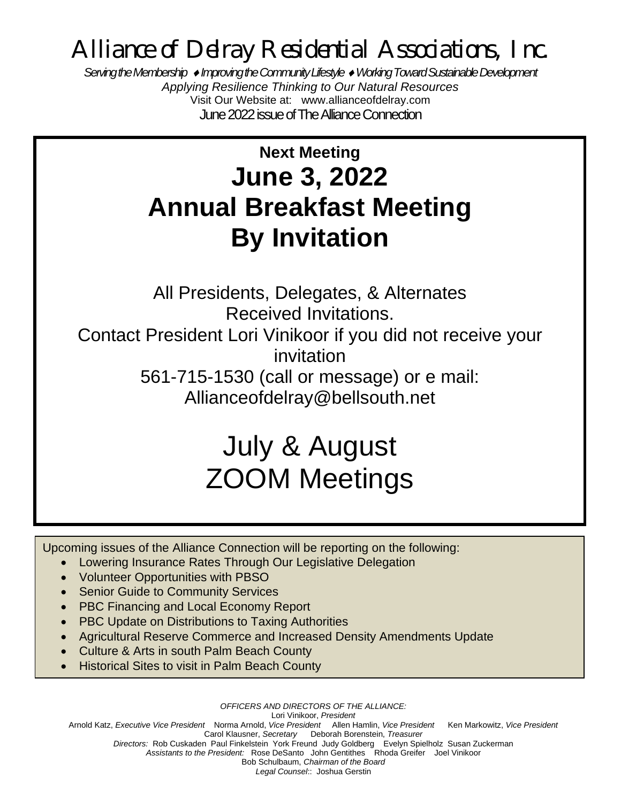*Alliance of Delray Residential Associations, Inc.*

*Serving the Membership Improving the Community Lifestyle Working Toward Sustainable Development Applying Resilience Thinking to Our Natural Resources* Visit Our Website at: www.allianceofdelray.com June 2022issue of The Alliance Connection

## **Next Meeting June 3, 2022 Annual Breakfast Meeting By Invitation**

All Presidents, Delegates, & Alternates Received Invitations. Contact President Lori Vinikoor if you did not receive your invitation 561-715-1530 (call or message) or e mail: [Allianceofdelray@bellsouth.net](mailto:Allianceofdelray@bellsouth.net)

# July & August ZOOM Meetings

Upcoming issues of the Alliance Connection will be reporting on the following:

- Lowering Insurance Rates Through Our Legislative Delegation
- Volunteer Opportunities with PBSO
- Senior Guide to Community Services
- PBC Financing and Local Economy Report
- PBC Update on Distributions to Taxing Authorities
- Agricultural Reserve Commerce and Increased Density Amendments Update
- Culture & Arts in south Palm Beach County
- Historical Sites to visit in Palm Beach County

*OFFICERS AND DIRECTORS OF THE ALLIANCE:*

Lori Vinikoor, *President* 

Arnold Katz, *Executive Vice President* Norma Arnold, *Vice President* Allen Hamlin, *Vice President* Ken Markowitz, *Vice President*  Carol Klausner, *Secretary* Deborah Borenstein, *Treasurer*

*Directors:* Rob Cuskaden Paul FinkelsteinYork Freund Judy Goldberg Evelyn Spielholz Susan Zuckerman

*Assistants to the President:* Rose DeSanto John Gentithes Rhoda Greifer Joel Vinikoor

Bob Schulbaum, *Chairman of the Board*

*Legal Counsel*:: Joshua Gerstin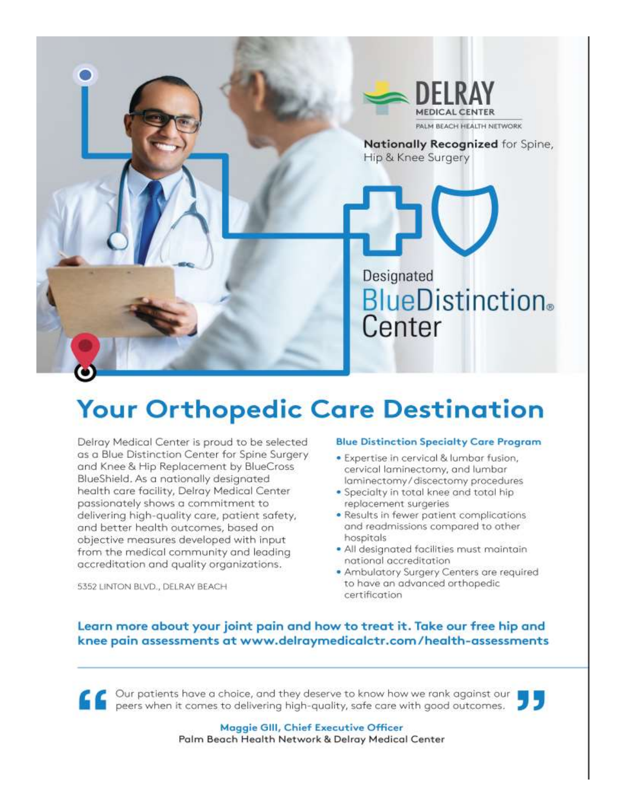

# **Your Orthopedic Care Destination**

Delray Medical Center is proud to be selected as a Blue Distinction Center for Spine Surgery and Knee & Hip Replacement by BlueCross BlueShield. As a nationally designated health care facility, Delray Medical Center passionately shows a commitment to delivering high-quality care, patient safety, and better health outcomes, based on objective measures developed with input from the medical community and leading accreditation and quality organizations.

#### **Blue Distinction Specialty Care Program** · Expertise in cervical & lumbar fusion,

- cervical laminectomy, and lumbar laminectomy/discectomy procedures
- . Specialty in total knee and total hip replacement surgeries
- Results in fewer patient complications and readmissions compared to other hospitals
- · All designated facilities must maintain national accreditation
- . Ambulatory Surgery Centers are required to have an advanced orthopedic certification

#### Learn more about your joint pain and how to treat it. Take our free hip and knee pain assessments at www.delraymedicalctr.com/health-assessments

Our patients have a choice, and they deserve to know how we rank against our peers when it comes to delivering high-quality, safe care with good outcomes.



Maggie GIII, Chief Executive Officer Palm Beach Health Network & Delray Medical Center

5352 LINTON BLVD., DELRAY BEACH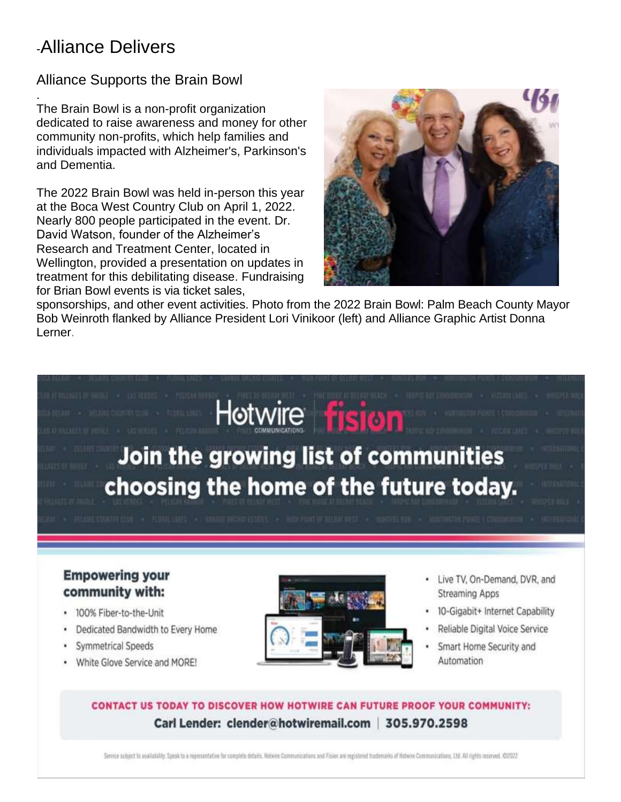### -Alliance Delivers

#### Alliance Supports the Brain Bowl

. The Brain Bowl is a non-profit organization dedicated to raise awareness and money for other community non-profits, which help families and individuals impacted with Alzheimer's, Parkinson's and Dementia.

The 2022 Brain Bowl was held in-person this year at the Boca West Country Club on April 1, 2022. Nearly 800 people participated in the event. Dr. David Watson, founder of the Alzheimer's Research and Treatment Center, located in Wellington, provided a presentation on updates in treatment for this debilitating disease. Fundraising for Brian Bowl events is via ticket sales,



sponsorships, and other event activities. Photo from the 2022 Brain Bowl: Palm Beach County Mayor Bob Weinroth flanked by Alliance President Lori Vinikoor (left) and Alliance Graphic Artist Donna Lerner.

# Hotwire **fision** Join the growing list of communities choosing the home of the future today.

#### **Empowering your** community with:

- · 100% Fiber-to-the-Unit
- Dedicated Bandwidth to Every Home
- · Symmetrical Speeds
- . White Glove Service and MORE!



- · Live TV, On-Demand, DVR, and **Streaming Apps**
- · 10-Gigabit+ Internet Capability
- · Reliable Digital Voice Service
- · Smart Home Security and Automation

#### CONTACT US TODAY TO DISCOVER HOW HOTWIRE CAN FUTURE PROOF YOUR COMMUNITY: Carl Lender: clender@hotwiremail.com | 305.970.2598

Service subject to availability. Speak to a representative for complete details. Hotwire Communications and Fision are registered trademarks of Hotwire Communications, Ltd. All rights reserved. @2022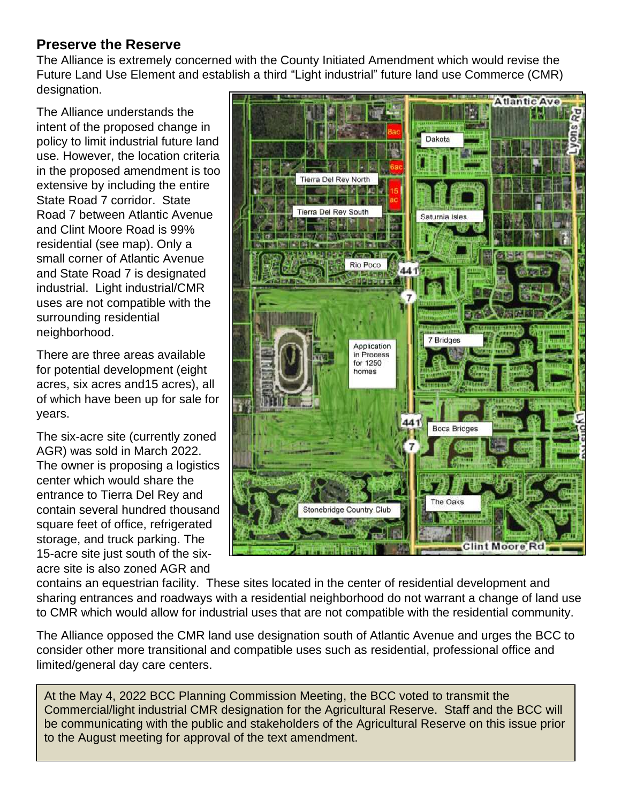#### **Preserve the Reserve**

The Alliance is extremely concerned with the County Initiated Amendment which would revise the Future Land Use Element and establish a third "Light industrial" future land use Commerce (CMR) designation.

The Alliance understands the intent of the proposed change in policy to limit industrial future land use. However, the location criteria in the proposed amendment is too extensive by including the entire State Road 7 corridor. State Road 7 between Atlantic Avenue and Clint Moore Road is 99% residential (see map). Only a small corner of Atlantic Avenue and State Road 7 is designated industrial. Light industrial/CMR uses are not compatible with the surrounding residential neighborhood.

There are three areas available for potential development (eight acres, six acres and15 acres), all of which have been up for sale for years.

The six-acre site (currently zoned AGR) was sold in March 2022. The owner is proposing a logistics center which would share the entrance to Tierra Del Rey and contain several hundred thousand square feet of office, refrigerated storage, and truck parking. The 15-acre site just south of the sixacre site is also zoned AGR and



contains an equestrian facility. These sites located in the center of residential development and sharing entrances and roadways with a residential neighborhood do not warrant a change of land use to CMR which would allow for industrial uses that are not compatible with the residential community.

The Alliance opposed the CMR land use designation south of Atlantic Avenue and urges the BCC to consider other more transitional and compatible uses such as residential, professional office and limited/general day care centers.

At the May 4, 2022 BCC Planning Commission Meeting, the BCC voted to transmit the Commercial/light industrial CMR designation for the Agricultural Reserve. Staff and the BCC will be communicating with the public and stakeholders of the Agricultural Reserve on this issue prior to the August meeting for approval of the text amendment.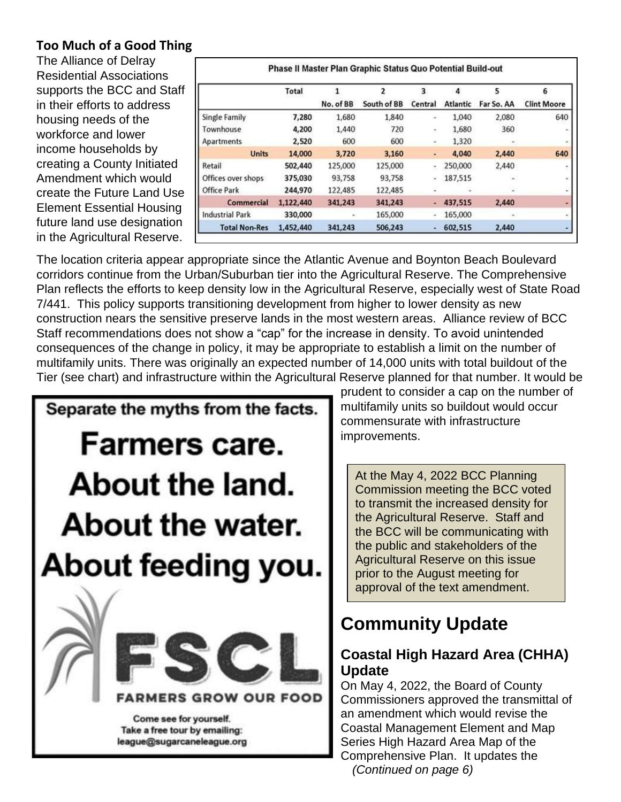#### **Too Much of a Good Thing**

The Alliance of Delray Residential Associations supports the BCC and Staff in their efforts to address housing needs of the workforce and lower income households by creating a County Initiated Amendment which would create the Future Land Use Element Essential Housing future land use designation in the Agricultural Reserve.

|                        | Total     | No. of BB | 2<br>South of BB | 3<br>Central | Δ<br><b>Atlantic</b> | 5<br>Far So. AA | б<br><b>Clint Moore</b> |
|------------------------|-----------|-----------|------------------|--------------|----------------------|-----------------|-------------------------|
|                        |           |           |                  |              |                      |                 |                         |
| Single Family          | 7,280     | 1,680     | 1,840            | ۰            | 1,040                | 2,080           | 640                     |
| Townhouse              | 4,200     | 1,440     | 720              | ٠            | 1,680                | 360             |                         |
| Apartments             | 2,520     | 600       | 600              | ۰            | 1,320                |                 |                         |
| <b>Units</b>           | 14,000    | 3,720     | 3,160            | ۰            | 4,040                | 2,440           | 640                     |
| Retail                 | 502,440   | 125,000   | 125,000          | ٠,           | 250,000              | 2,440           |                         |
| Offices over shops     | 375,030   | 93,758    | 93,758           | $\alpha$     | 187,515              | ۰               | w.                      |
| <b>Office Park</b>     | 244,970   | 122,485   | 122,485          |              |                      |                 |                         |
| Commercial             | 1,122,440 | 341,243   | 341,243          |              | 437,515              | 2,440           |                         |
| <b>Industrial Park</b> | 330,000   | $\ddot{}$ | 165,000          | $\sim$       | 165,000              | ۰               |                         |
| <b>Total Non-Res</b>   | 1,452,440 | 341,243   | 506,243          | ۰            | 602,515              | 2,440           |                         |

The location criteria appear appropriate since the Atlantic Avenue and Boynton Beach Boulevard corridors continue from the Urban/Suburban tier into the Agricultural Reserve. The Comprehensive Plan reflects the efforts to keep density low in the Agricultural Reserve, especially west of State Road 7/441. This policy supports transitioning development from higher to lower density as new construction nears the sensitive preserve lands in the most western areas. Alliance review of BCC Staff recommendations does not show a "cap" for the increase in density. To avoid unintended consequences of the change in policy, it may be appropriate to establish a limit on the number of multifamily units. There was originally an expected number of 14,000 units with total buildout of the Tier (see chart) and infrastructure within the Agricultural Reserve planned for that number. It would be



prudent to consider a cap on the number of multifamily units so buildout would occur commensurate with infrastructure improvements.

At the May 4, 2022 BCC Planning Commission meeting the BCC voted to transmit the increased density for the Agricultural Reserve. Staff and the BCC will be communicating with the public and stakeholders of the Agricultural Reserve on this issue prior to the August meeting for approval of the text amendment.

### **Community Update**

#### **Coastal High Hazard Area (CHHA) Update**

On May 4, 2022, the Board of County Commissioners approved the transmittal of an amendment which would revise the Coastal Management Element and Map Series High Hazard Area Map of the Comprehensive Plan. It updates the  *(Continued on page 6)*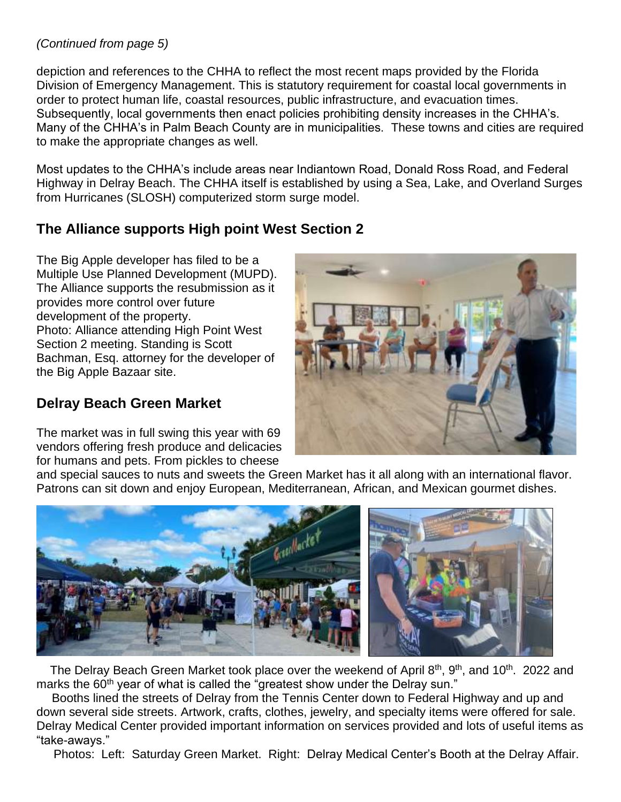#### *(Continued from page 5)*

depiction and references to the CHHA to reflect the most recent maps provided by the Florida Division of Emergency Management. This is statutory requirement for coastal local governments in order to protect human life, coastal resources, public infrastructure, and evacuation times. Subsequently, local governments then enact policies prohibiting density increases in the CHHA's. Many of the CHHA's in Palm Beach County are in municipalities. These towns and cities are required to make the appropriate changes as well.

Most updates to the CHHA's include areas near Indiantown Road, Donald Ross Road, and Federal Highway in Delray Beach. The CHHA itself is established by using a Sea, Lake, and Overland Surges from Hurricanes (SLOSH) computerized storm surge model.

#### **The Alliance supports High point West Section 2**

The Big Apple developer has filed to be a Multiple Use Planned Development (MUPD). The Alliance supports the resubmission as it provides more control over future development of the property. Photo: Alliance attending High Point West Section 2 meeting. Standing is Scott Bachman, Esq. attorney for the developer of the Big Apple Bazaar site.

#### **Delray Beach Green Market**

The market was in full swing this year with 69 vendors offering fresh produce and delicacies for humans and pets. From pickles to cheese



and special sauces to nuts and sweets the Green Market has it all along with an international flavor. Patrons can sit down and enjoy European, Mediterranean, African, and Mexican gourmet dishes.



The Delray Beach Green Market took place over the weekend of April 8<sup>th</sup>, 9<sup>th</sup>, and 10<sup>th</sup>. 2022 and marks the 60<sup>th</sup> year of what is called the "greatest show under the Delray sun."

 Booths lined the streets of Delray from the Tennis Center down to Federal Highway and up and down several side streets. Artwork, crafts, clothes, jewelry, and specialty items were offered for sale. Delray Medical Center provided important information on services provided and lots of useful items as "take-aways."

Photos: Left: Saturday Green Market. Right: Delray Medical Center's Booth at the Delray Affair.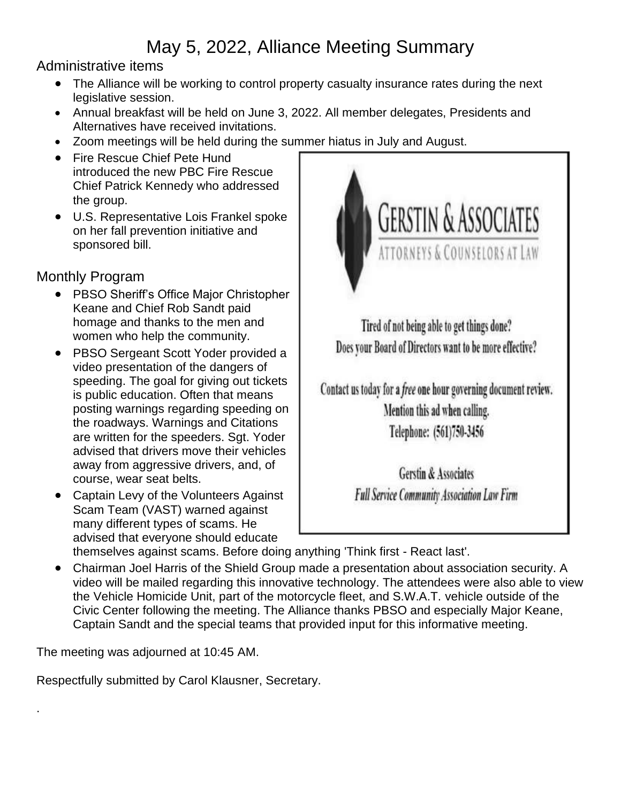### May 5, 2022, Alliance Meeting Summary

#### Administrative items

- The Alliance will be working to control property casualty insurance rates during the next legislative session.
- Annual breakfast will be held on June 3, 2022. All member delegates, Presidents and Alternatives have received invitations.
- Zoom meetings will be held during the summer hiatus in July and August.
- Fire Rescue Chief Pete Hund introduced the new PBC Fire Rescue Chief Patrick Kennedy who addressed the group.
- U.S. Representative Lois Frankel spoke on her fall prevention initiative and sponsored bill.

#### Monthly Program

- PBSO Sheriff's Office Major Christopher Keane and Chief Rob Sandt paid homage and thanks to the men and women who help the community.
- PBSO Sergeant Scott Yoder provided a video presentation of the dangers of speeding. The goal for giving out tickets is public education. Often that means posting warnings regarding speeding on the roadways. Warnings and Citations are written for the speeders. Sgt. Yoder advised that drivers move their vehicles away from aggressive drivers, and, of course, wear seat belts.
- Captain Levy of the Volunteers Against Scam Team (VAST) warned against many different types of scams. He advised that everyone should educate



Tired of not being able to get things done? Does your Board of Directors want to be more effective?

Contact us today for a free one hour governing document review. Mention this ad when calling. Telephone: (561)750-3456

> **Gerstin & Associates Full Service Community Association Law Firm**

themselves against scams. Before doing anything 'Think first - React last'.

• Chairman Joel Harris of the Shield Group made a presentation about association security. A video will be mailed regarding this innovative technology. The attendees were also able to view the Vehicle Homicide Unit, part of the motorcycle fleet, and S.W.A.T. vehicle outside of the Civic Center following the meeting. The Alliance thanks PBSO and especially Major Keane, Captain Sandt and the special teams that provided input for this informative meeting.

The meeting was adjourned at 10:45 AM.

.

Respectfully submitted by Carol Klausner, Secretary.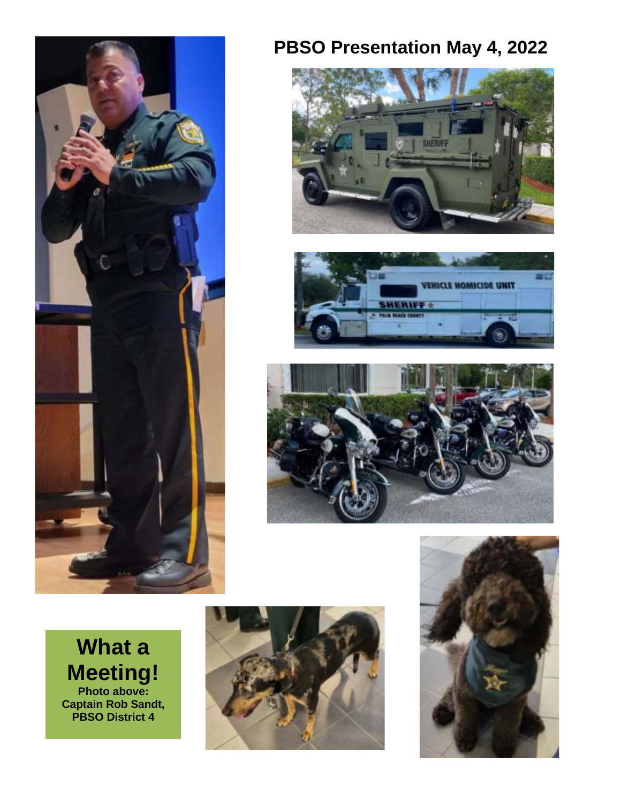

### **PBSO Presentation May 4, 2022**









**What a Meeting! Photo above: Captain Rob Sandt, PBSO District 4** 

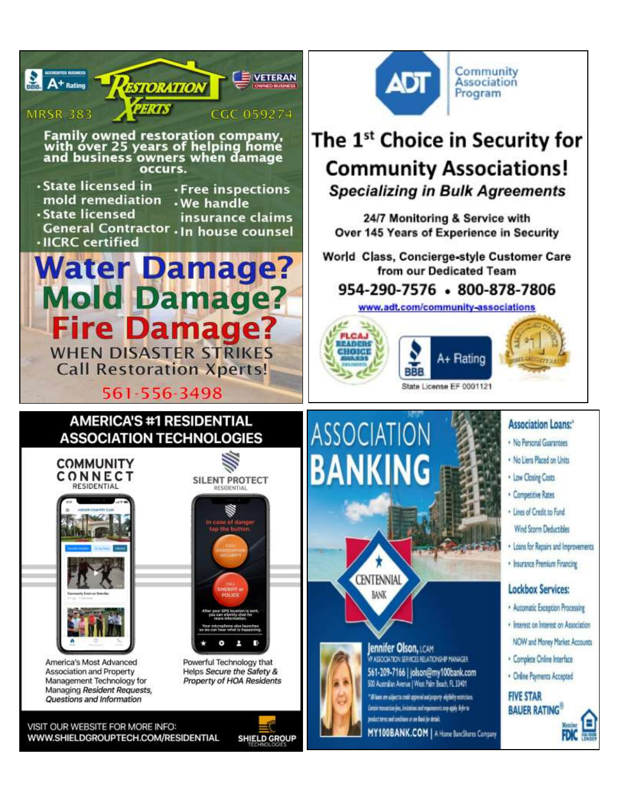

Community **Association** Program

# The 1<sup>st</sup> Choice in Security for **Community Associations!**

**Specializing in Bulk Agreements** 

24/7 Monitoring & Service with Over 145 Years of Experience in Security

World Class, Concierge-style Customer Care from our Dedicated Team

### 954-290-7576 - 800-878-7806

www.adt.com/community-associations



#### **Association Loans:\***

- · No Personal Guarantees
- . No Liens Placed on Units
- . Low Closing Costs
- · Competitive Rates
- · Lines of Credit to Fund Wind Storm Deductibles
- . Loans for Repairs and Improvements
- · Insurance Premium Financing

#### **Lockbox Services:**

- · Automatic Exception Processing
- · Interest on Interest on Association
- NOW and Money Market Accounts
- · Complete Online Interface
- · Online Payments Accepted

#### **FIVE STAR BAUER RATING®**



WWW.SHIELDGROUPTECH.COM/RESIDENTIAL

**SHIELD GROUP**